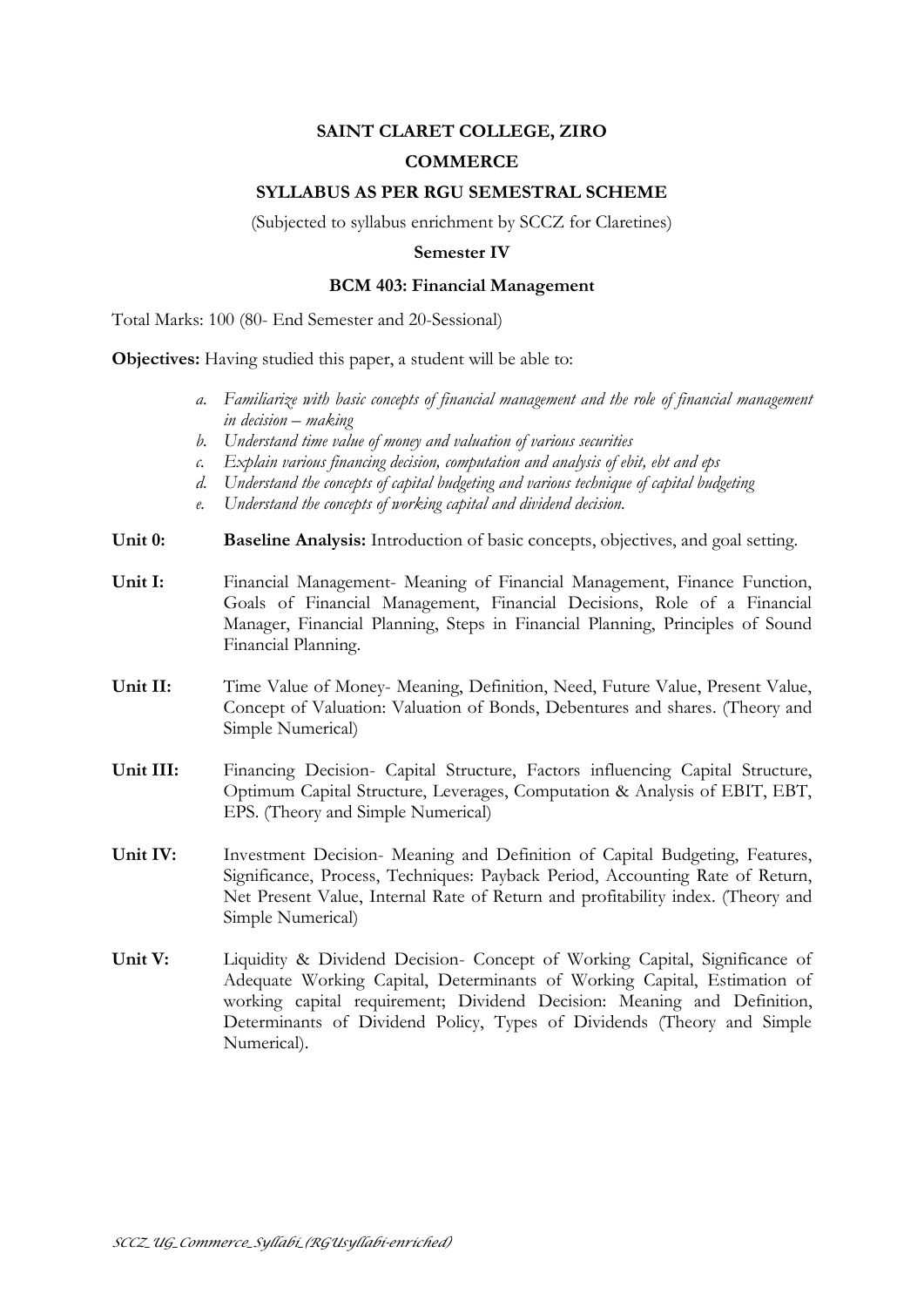# **SAINT CLARET COLLEGE, ZIRO**

## **COMMERCE**

### **SYLLABUS AS PER RGU SEMESTRAL SCHEME**

(Subjected to syllabus enrichment by SCCZ for Claretines)

#### **Semester IV**

#### **BCM 403: Financial Management**

Total Marks: 100 (80- End Semester and 20-Sessional)

**Objectives:** Having studied this paper, a student will be able to:

- *a. Familiarize with basic concepts of financial management and the role of financial management in decision – making*
- *b. Understand time value of money and valuation of various securities*
- *c. Explain various financing decision, computation and analysis of ebit, ebt and eps*
- *d. Understand the concepts of capital budgeting and various technique of capital budgeting*
- *e. Understand the concepts of working capital and dividend decision.*
- **Unit 0: Baseline Analysis:** Introduction of basic concepts, objectives, and goal setting.
- **Unit I:** Financial Management- Meaning of Financial Management, Finance Function, Goals of Financial Management, Financial Decisions, Role of a Financial Manager, Financial Planning, Steps in Financial Planning, Principles of Sound Financial Planning.
- **Unit II:** Time Value of Money- Meaning, Definition, Need, Future Value, Present Value, Concept of Valuation: Valuation of Bonds, Debentures and shares. (Theory and Simple Numerical)
- **Unit III:** Financing Decision- Capital Structure, Factors influencing Capital Structure, Optimum Capital Structure, Leverages, Computation & Analysis of EBIT, EBT, EPS. (Theory and Simple Numerical)
- **Unit IV:** Investment Decision- Meaning and Definition of Capital Budgeting, Features, Significance, Process, Techniques: Payback Period, Accounting Rate of Return, Net Present Value, Internal Rate of Return and profitability index. (Theory and Simple Numerical)
- **Unit V:** Liquidity & Dividend Decision- Concept of Working Capital, Significance of Adequate Working Capital, Determinants of Working Capital, Estimation of working capital requirement; Dividend Decision: Meaning and Definition, Determinants of Dividend Policy, Types of Dividends (Theory and Simple Numerical).